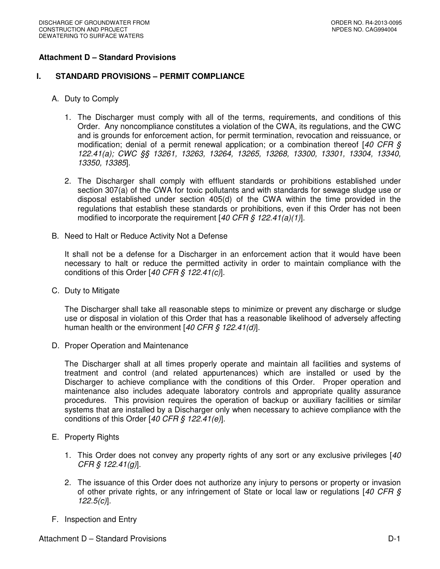### **Attachment D – Standard Provisions**

#### **I. STANDARD PROVISIONS – PERMIT COMPLIANCE**

- A. Duty to Comply
	- 1. The Discharger must comply with all of the terms, requirements, and conditions of this Order. Any noncompliance constitutes a violation of the CWA, its regulations, and the CWC and is grounds for enforcement action, for permit termination, revocation and reissuance, or modification; denial of a permit renewal application; or a combination thereof  $[40 \text{ CFR } \text{S}$ 122.41(a); CWC §§ 13261, 13263, 13264, 13265, 13268, 13300, 13301, 13304, 13340, 13350, 13385].
	- 2. The Discharger shall comply with effluent standards or prohibitions established under section 307(a) of the CWA for toxic pollutants and with standards for sewage sludge use or disposal established under section 405(d) of the CWA within the time provided in the regulations that establish these standards or prohibitions, even if this Order has not been modified to incorporate the requirement  $[40 \text{ CFR} \text{ } \text{\textit{S}} \text{ } 122.41(a)(1)].$
- B. Need to Halt or Reduce Activity Not a Defense

It shall not be a defense for a Discharger in an enforcement action that it would have been necessary to halt or reduce the permitted activity in order to maintain compliance with the conditions of this Order  $[40 \text{ CFR}$  §  $122.41(c)$ ].

C. Duty to Mitigate

The Discharger shall take all reasonable steps to minimize or prevent any discharge or sludge use or disposal in violation of this Order that has a reasonable likelihood of adversely affecting human health or the environment  $[40 CFR \n\delta 122.41(d)].$ 

D. Proper Operation and Maintenance

The Discharger shall at all times properly operate and maintain all facilities and systems of treatment and control (and related appurtenances) which are installed or used by the Discharger to achieve compliance with the conditions of this Order. Proper operation and maintenance also includes adequate laboratory controls and appropriate quality assurance procedures. This provision requires the operation of backup or auxiliary facilities or similar systems that are installed by a Discharger only when necessary to achieve compliance with the conditions of this Order [40 CFR § 122.41(e)].

- E. Property Rights
	- 1. This Order does not convey any property rights of any sort or any exclusive privileges [40]  $CFR \, \S \, 122.41$ (g)].
	- 2. The issuance of this Order does not authorize any injury to persons or property or invasion of other private rights, or any infringement of State or local law or regulations [40 CFR  $\zeta$  $122.5(c)$ ].
- F. Inspection and Entry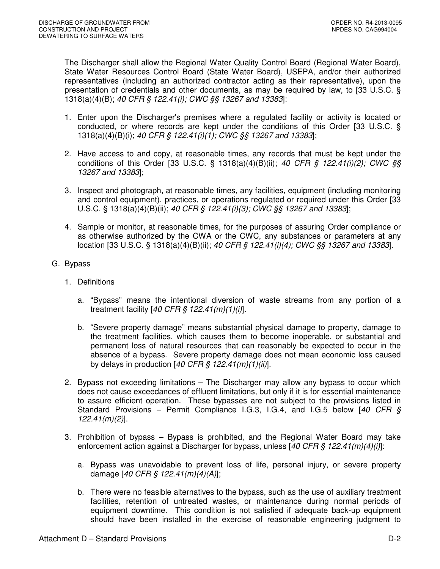The Discharger shall allow the Regional Water Quality Control Board (Regional Water Board), State Water Resources Control Board (State Water Board), USEPA, and/or their authorized representatives (including an authorized contractor acting as their representative), upon the presentation of credentials and other documents, as may be required by law, to [33 U.S.C. § 1318(a)(4)(B); 40 CFR § 122.41(i); CWC §§ 13267 and 13383]:

- 1. Enter upon the Discharger's premises where a regulated facility or activity is located or conducted, or where records are kept under the conditions of this Order [33 U.S.C. § 1318(a)(4)(B)(i); 40 CFR § 122.41(i)(1); CWC §§ 13267 and 13383];
- 2. Have access to and copy, at reasonable times, any records that must be kept under the conditions of this Order [33 U.S.C. § 1318(a)(4)(B)(ii); 40 CFR § 122.41(i)(2); CWC §§ 13267 and 13383];
- 3. Inspect and photograph, at reasonable times, any facilities, equipment (including monitoring and control equipment), practices, or operations regulated or required under this Order [33 U.S.C. § 1318(a)(4)(B)(ii); 40 CFR § 122.41(i)(3); CWC §§ 13267 and 13383];
- 4. Sample or monitor, at reasonable times, for the purposes of assuring Order compliance or as otherwise authorized by the CWA or the CWC, any substances or parameters at any location [33 U.S.C. § 1318(a)(4)(B)(ii); 40 CFR § 122.41(i)(4); CWC §§ 13267 and 13383].
- G. Bypass
	- 1. Definitions
		- a. "Bypass" means the intentional diversion of waste streams from any portion of a treatment facility  $[40 \text{ CFR} \text{ } \text{\textit{S}} \text{ } 122.41 \text{ } (m)(1)(i)].$
		- b. "Severe property damage" means substantial physical damage to property, damage to the treatment facilities, which causes them to become inoperable, or substantial and permanent loss of natural resources that can reasonably be expected to occur in the absence of a bypass. Severe property damage does not mean economic loss caused by delays in production  $[40 \text{ CFR}$  \$  $122.41 \text{ (m)}(1)$ (ii)].
	- 2. Bypass not exceeding limitations The Discharger may allow any bypass to occur which does not cause exceedances of effluent limitations, but only if it is for essential maintenance to assure efficient operation. These bypasses are not subject to the provisions listed in Standard Provisions – Permit Compliance I.G.3, I.G.4, and I.G.5 below  $[40 \text{ CFR } \text{S}$ 122.41(m)(2)].
	- 3. Prohibition of bypass Bypass is prohibited, and the Regional Water Board may take enforcement action against a Discharger for bypass, unless  $[40 CFR \frac{S}{S} 122.41(m)(4)(i)]$ :
		- a. Bypass was unavoidable to prevent loss of life, personal injury, or severe property damage [40 CFR § 122.41(m)(4)(A)];
		- b. There were no feasible alternatives to the bypass, such as the use of auxiliary treatment facilities, retention of untreated wastes, or maintenance during normal periods of equipment downtime. This condition is not satisfied if adequate back-up equipment should have been installed in the exercise of reasonable engineering judgment to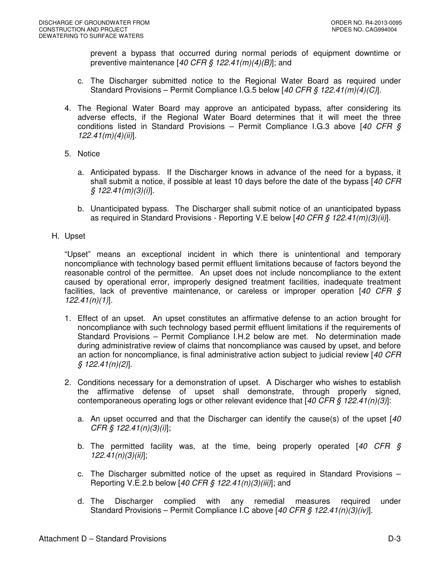prevent a bypass that occurred during normal periods of equipment downtime or preventive maintenance  $[40 \text{ CFR} \text{ } \text{\textless} 122.41 \text{ } (m)(4)(B)]$ ; and

- c. The Discharger submitted notice to the Regional Water Board as required under Standard Provisions – Permit Compliance I.G.5 below [40 CFR § 122.41(m)(4)(C)].
- 4. The Regional Water Board may approve an anticipated bypass, after considering its adverse effects, if the Regional Water Board determines that it will meet the three conditions listed in Standard Provisions – Permit Compliance I.G.3 above [40 CFR  $\S$  $122.41(m)(4)(ii)$ ].
- 5. Notice
	- a. Anticipated bypass. If the Discharger knows in advance of the need for a bypass, it shall submit a notice, if possible at least 10 days before the date of the bypass [40 CFR]  $\frac{1}{2}$  122.41(m)(3)(i)].
	- b. Unanticipated bypass. The Discharger shall submit notice of an unanticipated bypass as required in Standard Provisions - Reporting V.E below [40 CFR § 122.41(m)(3)(ii)].
- H. Upset

"Upset" means an exceptional incident in which there is unintentional and temporary noncompliance with technology based permit effluent limitations because of factors beyond the reasonable control of the permittee. An upset does not include noncompliance to the extent caused by operational error, improperly designed treatment facilities, inadequate treatment facilities, lack of preventive maintenance, or careless or improper operation  $[40 \text{ CFR } \text{S}]$ 122.41(n)(1)].

- 1. Effect of an upset. An upset constitutes an affirmative defense to an action brought for noncompliance with such technology based permit effluent limitations if the requirements of Standard Provisions – Permit Compliance I.H.2 below are met. No determination made during administrative review of claims that noncompliance was caused by upset, and before an action for noncompliance, is final administrative action subject to judicial review [40 CFR  $$122.41(n)(2)].$
- 2. Conditions necessary for a demonstration of upset. A Discharger who wishes to establish the affirmative defense of upset shall demonstrate, through properly signed, contemporaneous operating logs or other relevant evidence that  $[40 CFR \n\delta 122.41(n)(3)]$ :
	- a. An upset occurred and that the Discharger can identify the cause(s) of the upset  $[40]$  $CFR \, \S \, 122.41(n)(3)(i)$ ;
	- b. The permitted facility was, at the time, being properly operated  $[40 \text{ CFR } \text{S}$  $122.41(n)(3)(ii)$ ;
	- c. The Discharger submitted notice of the upset as required in Standard Provisions Reporting V.E.2.b below [40 CFR § 122.41(n)(3)(iii)]; and
	- d. The Discharger complied with any remedial measures required under Standard Provisions – Permit Compliance I.C above [40 CFR § 122.41(n)(3)(iv)].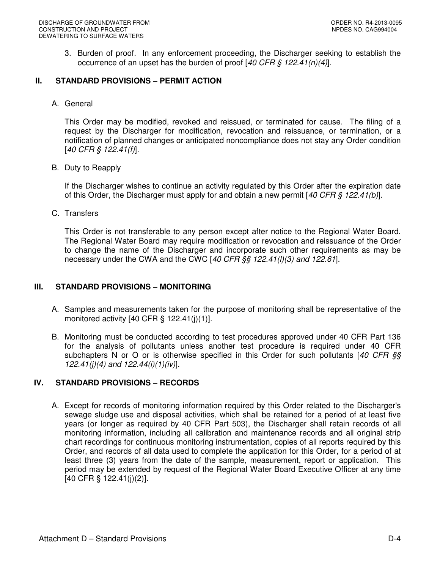3. Burden of proof. In any enforcement proceeding, the Discharger seeking to establish the occurrence of an upset has the burden of proof  $[40 \text{ CFR} \text{ } \text{\$} 122.41(n)(4)].$ 

## **II. STANDARD PROVISIONS – PERMIT ACTION**

A. General

This Order may be modified, revoked and reissued, or terminated for cause. The filing of a request by the Discharger for modification, revocation and reissuance, or termination, or a notification of planned changes or anticipated noncompliance does not stay any Order condition [40 CFR § 122.41(f)].

B. Duty to Reapply

If the Discharger wishes to continue an activity regulated by this Order after the expiration date of this Order, the Discharger must apply for and obtain a new permit [40 CFR  $\frac{6}{7}$  122.41(b)].

C. Transfers

This Order is not transferable to any person except after notice to the Regional Water Board. The Regional Water Board may require modification or revocation and reissuance of the Order to change the name of the Discharger and incorporate such other requirements as may be necessary under the CWA and the CWC  $[40 \text{ CFR}$  \$  $\frac{1}{2}$  (122.41(*l*)(3) and 122.61].

### **III. STANDARD PROVISIONS – MONITORING**

- A. Samples and measurements taken for the purpose of monitoring shall be representative of the monitored activity  $[40 \text{ CFR} \text{ § } 122.41(i)(1)].$
- B. Monitoring must be conducted according to test procedures approved under 40 CFR Part 136 for the analysis of pollutants unless another test procedure is required under 40 CFR subchapters N or O or is otherwise specified in this Order for such pollutants [40 CFR §§ 122.41(j)(4) and  $122.44(i)(1)(iv)$ ].

### **IV. STANDARD PROVISIONS – RECORDS**

A. Except for records of monitoring information required by this Order related to the Discharger's sewage sludge use and disposal activities, which shall be retained for a period of at least five years (or longer as required by 40 CFR Part 503), the Discharger shall retain records of all monitoring information, including all calibration and maintenance records and all original strip chart recordings for continuous monitoring instrumentation, copies of all reports required by this Order, and records of all data used to complete the application for this Order, for a period of at least three (3) years from the date of the sample, measurement, report or application. This period may be extended by request of the Regional Water Board Executive Officer at any time [40 CFR § 122.41(j)(2)].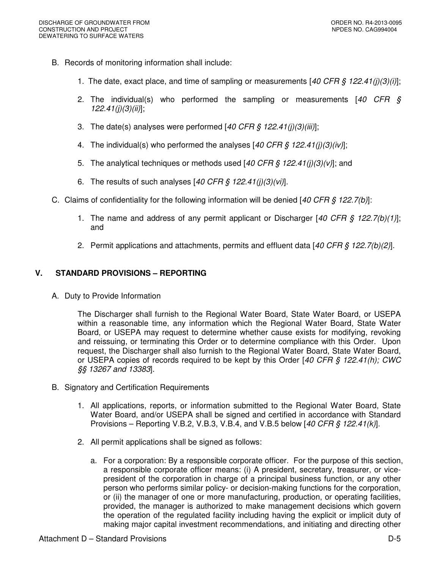- B. Records of monitoring information shall include:
	- 1. The date, exact place, and time of sampling or measurements [40 CFR  $\zeta$  122.41(j)(3)(i)];
	- 2. The individual(s) who performed the sampling or measurements  $[40 \text{ CFR} \text{ s}]$  $122.41(j)(3)(ii)$ ;
	- 3. The date(s) analyses were performed  $[40 \text{ CFR} \text{ } \text{\$ } 122.41(j)(3)(iii)];$
	- 4. The individual(s) who performed the analyses [40 CFR  $\frac{6}{5}$  122.41(j)(3)(iv)];
	- 5. The analytical techniques or methods used  $[40 CFR \, \xi \, 122.41(i)(3)(v)]$ ; and
	- 6. The results of such analyses  $[40 \text{ CFR } \frac{6}{9} \frac{122.41(j)(3)(vi)}{i}].$
- C. Claims of confidentiality for the following information will be denied  $[40 CFR \t{S} 122.7(b)]$ :
	- 1. The name and address of any permit applicant or Discharger [40 CFR  $\frac{6}{7}$  122.7(b)(1)]; and
	- 2. Permit applications and attachments, permits and effluent data [40 CFR  $\frac{1}{2}$  122.7(b)(2)].

## **V. STANDARD PROVISIONS – REPORTING**

A. Duty to Provide Information

The Discharger shall furnish to the Regional Water Board, State Water Board, or USEPA within a reasonable time, any information which the Regional Water Board, State Water Board, or USEPA may request to determine whether cause exists for modifying, revoking and reissuing, or terminating this Order or to determine compliance with this Order. Upon request, the Discharger shall also furnish to the Regional Water Board, State Water Board, or USEPA copies of records required to be kept by this Order  $[40 \text{ CFR} \text{ } \text{\$} 122.41(h);$  CWC §§ 13267 and 13383].

- B. Signatory and Certification Requirements
	- 1. All applications, reports, or information submitted to the Regional Water Board, State Water Board, and/or USEPA shall be signed and certified in accordance with Standard Provisions – Reporting V.B.2, V.B.3, V.B.4, and V.B.5 below [40 CFR  $\zeta$  122.41(k)].
	- 2. All permit applications shall be signed as follows:
		- a. For a corporation: By a responsible corporate officer. For the purpose of this section, a responsible corporate officer means: (i) A president, secretary, treasurer, or vicepresident of the corporation in charge of a principal business function, or any other person who performs similar policy- or decision-making functions for the corporation, or (ii) the manager of one or more manufacturing, production, or operating facilities, provided, the manager is authorized to make management decisions which govern the operation of the regulated facility including having the explicit or implicit duty of making major capital investment recommendations, and initiating and directing other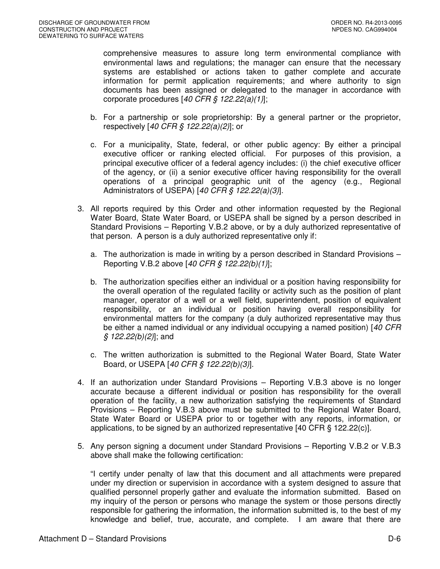comprehensive measures to assure long term environmental compliance with environmental laws and regulations; the manager can ensure that the necessary systems are established or actions taken to gather complete and accurate information for permit application requirements; and where authority to sign documents has been assigned or delegated to the manager in accordance with corporate procedures  $[40 \text{ CFR}$  §  $122.22(a)(1)]$ ;

- b. For a partnership or sole proprietorship: By a general partner or the proprietor, respectively [40 CFR § 122.22(a)(2)]; or
- c. For a municipality, State, federal, or other public agency: By either a principal executive officer or ranking elected official. For purposes of this provision, a principal executive officer of a federal agency includes: (i) the chief executive officer of the agency, or (ii) a senior executive officer having responsibility for the overall operations of a principal geographic unit of the agency (e.g., Regional Administrators of USEPA) [40 CFR  $\hat{S}$  122.22(a)(3)].
- 3. All reports required by this Order and other information requested by the Regional Water Board, State Water Board, or USEPA shall be signed by a person described in Standard Provisions – Reporting V.B.2 above, or by a duly authorized representative of that person. A person is a duly authorized representative only if:
	- a. The authorization is made in writing by a person described in Standard Provisions Reporting V.B.2 above [40 CFR § 122.22(b)(1)];
	- b. The authorization specifies either an individual or a position having responsibility for the overall operation of the regulated facility or activity such as the position of plant manager, operator of a well or a well field, superintendent, position of equivalent responsibility, or an individual or position having overall responsibility for environmental matters for the company (a duly authorized representative may thus be either a named individual or any individual occupying a named position) [40 CFR  $$ 122.22(b)(2)]$ ; and
	- c. The written authorization is submitted to the Regional Water Board, State Water Board, or USEPA [40 CFR § 122.22(b)(3)].
- 4. If an authorization under Standard Provisions Reporting V.B.3 above is no longer accurate because a different individual or position has responsibility for the overall operation of the facility, a new authorization satisfying the requirements of Standard Provisions – Reporting V.B.3 above must be submitted to the Regional Water Board, State Water Board or USEPA prior to or together with any reports, information, or applications, to be signed by an authorized representative [40 CFR § 122.22(c)].
- 5. Any person signing a document under Standard Provisions Reporting V.B.2 or V.B.3 above shall make the following certification:

"I certify under penalty of law that this document and all attachments were prepared under my direction or supervision in accordance with a system designed to assure that qualified personnel properly gather and evaluate the information submitted. Based on my inquiry of the person or persons who manage the system or those persons directly responsible for gathering the information, the information submitted is, to the best of my knowledge and belief, true, accurate, and complete. I am aware that there are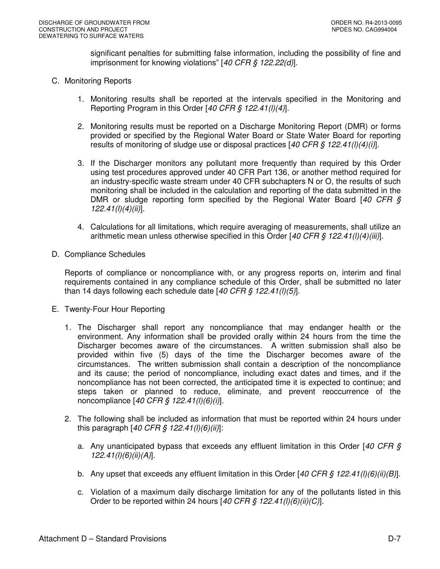significant penalties for submitting false information, including the possibility of fine and imprisonment for knowing violations" [40 CFR § 122.22(d)].

- C. Monitoring Reports
	- 1. Monitoring results shall be reported at the intervals specified in the Monitoring and Reporting Program in this Order [40 CFR  $\frac{6}{5}$  122.41(l)(4)].
	- 2. Monitoring results must be reported on a Discharge Monitoring Report (DMR) or forms provided or specified by the Regional Water Board or State Water Board for reporting results of monitoring of sludge use or disposal practices [40 CFR  $\frac{6}{7}$  122.41(l)(4)(i)].
	- 3. If the Discharger monitors any pollutant more frequently than required by this Order using test procedures approved under 40 CFR Part 136, or another method required for an industry-specific waste stream under 40 CFR subchapters N or O, the results of such monitoring shall be included in the calculation and reporting of the data submitted in the DMR or sludge reporting form specified by the Regional Water Board  $[40 \text{ CFR } \text{S}$  $122.41(l)(4)(ii)$ ].
	- 4. Calculations for all limitations, which require averaging of measurements, shall utilize an arithmetic mean unless otherwise specified in this Order  $[40 CFR \, \xi \, 122.41/J/(4)(iii)]$ .
- D. Compliance Schedules

Reports of compliance or noncompliance with, or any progress reports on, interim and final requirements contained in any compliance schedule of this Order, shall be submitted no later than 14 days following each schedule date  $[40 \text{ CFR} \text{ } \text{\textit{S}} \text{ } 122.41 \text{ } \text{ } I\text{ } 10 \text{ } 5]$ .

- E. Twenty-Four Hour Reporting
	- 1. The Discharger shall report any noncompliance that may endanger health or the environment. Any information shall be provided orally within 24 hours from the time the Discharger becomes aware of the circumstances. A written submission shall also be provided within five (5) days of the time the Discharger becomes aware of the circumstances. The written submission shall contain a description of the noncompliance and its cause; the period of noncompliance, including exact dates and times, and if the noncompliance has not been corrected, the anticipated time it is expected to continue; and steps taken or planned to reduce, eliminate, and prevent reoccurrence of the noncompliance [40 CFR § 122.41(l)(6)(i)].
	- 2. The following shall be included as information that must be reported within 24 hours under this paragraph  $[40 \text{ CFR} \, \text{S} \, 122.41 \, \text{I}) \, \text{I} \, \text{G}) \, \text{II}$ :
		- a. Any unanticipated bypass that exceeds any effluent limitation in this Order [40 CFR  $\zeta$ 122.41(l)(6)(ii)(A)].
		- b. Any upset that exceeds any effluent limitation in this Order [40 CFR § 122.41(l)(6)(ii)(B)].
		- c. Violation of a maximum daily discharge limitation for any of the pollutants listed in this Order to be reported within 24 hours  $[40 \text{ CFR } \frac{6}{5} \frac{122.41(l)(6)(ii)(C)}{2l}$ .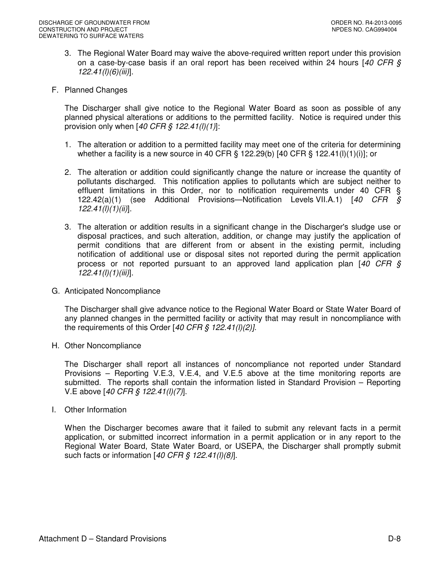- 3. The Regional Water Board may waive the above-required written report under this provision on a case-by-case basis if an oral report has been received within 24 hours  $[40 \text{ CFR } \text{S}$ 122.41(l)(6)(iii)].
- F. Planned Changes

The Discharger shall give notice to the Regional Water Board as soon as possible of any planned physical alterations or additions to the permitted facility. Notice is required under this provision only when  $[40 \text{ CFR}$  \$  $122.41 \frac{I}{I}$ :

- 1. The alteration or addition to a permitted facility may meet one of the criteria for determining whether a facility is a new source in 40 CFR  $\S$  122.29(b) [40 CFR  $\S$  122.41(l)(1)(i)]; or
- 2. The alteration or addition could significantly change the nature or increase the quantity of pollutants discharged. This notification applies to pollutants which are subject neither to effluent limitations in this Order, nor to notification requirements under 40 CFR § 122.42(a)(1) (see Additional Provisions—Notification Levels VII.A.1) [40 CFR §  $122.41(l)(1)(ii)$ ].
- 3. The alteration or addition results in a significant change in the Discharger's sludge use or disposal practices, and such alteration, addition, or change may justify the application of permit conditions that are different from or absent in the existing permit, including notification of additional use or disposal sites not reported during the permit application process or not reported pursuant to an approved land application plan [40 CFR §  $122.41(l)(1)(iii)$ ].
- G. Anticipated Noncompliance

The Discharger shall give advance notice to the Regional Water Board or State Water Board of any planned changes in the permitted facility or activity that may result in noncompliance with the requirements of this Order  $[40 \text{ CFR} \text{ § } 122.41 \text{ /I})$  (2).

H. Other Noncompliance

The Discharger shall report all instances of noncompliance not reported under Standard Provisions – Reporting V.E.3, V.E.4, and V.E.5 above at the time monitoring reports are submitted. The reports shall contain the information listed in Standard Provision – Reporting V.E above [40 CFR § 122.41(l)(7)].

I. Other Information

When the Discharger becomes aware that it failed to submit any relevant facts in a permit application, or submitted incorrect information in a permit application or in any report to the Regional Water Board, State Water Board, or USEPA, the Discharger shall promptly submit such facts or information  $[40 \text{ CFR}$  §  $122.41 \text{ (I)}(8)]$ .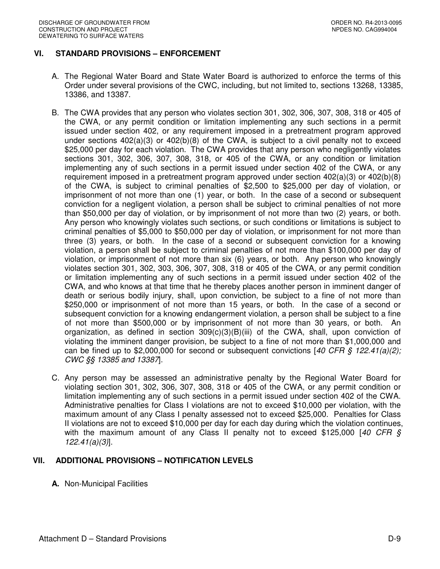# **VI. STANDARD PROVISIONS – ENFORCEMENT**

- A. The Regional Water Board and State Water Board is authorized to enforce the terms of this Order under several provisions of the CWC, including, but not limited to, sections 13268, 13385, 13386, and 13387.
- B. The CWA provides that any person who violates section 301, 302, 306, 307, 308, 318 or 405 of the CWA, or any permit condition or limitation implementing any such sections in a permit issued under section 402, or any requirement imposed in a pretreatment program approved under sections  $402(a)(3)$  or  $402(b)(8)$  of the CWA, is subject to a civil penalty not to exceed \$25,000 per day for each violation. The CWA provides that any person who negligently violates sections 301, 302, 306, 307, 308, 318, or 405 of the CWA, or any condition or limitation implementing any of such sections in a permit issued under section 402 of the CWA, or any requirement imposed in a pretreatment program approved under section  $402(a)(3)$  or  $402(b)(8)$ of the CWA, is subject to criminal penalties of \$2,500 to \$25,000 per day of violation, or imprisonment of not more than one (1) year, or both. In the case of a second or subsequent conviction for a negligent violation, a person shall be subject to criminal penalties of not more than \$50,000 per day of violation, or by imprisonment of not more than two (2) years, or both. Any person who knowingly violates such sections, or such conditions or limitations is subject to criminal penalties of \$5,000 to \$50,000 per day of violation, or imprisonment for not more than three (3) years, or both. In the case of a second or subsequent conviction for a knowing violation, a person shall be subject to criminal penalties of not more than \$100,000 per day of violation, or imprisonment of not more than six (6) years, or both. Any person who knowingly violates section 301, 302, 303, 306, 307, 308, 318 or 405 of the CWA, or any permit condition or limitation implementing any of such sections in a permit issued under section 402 of the CWA, and who knows at that time that he thereby places another person in imminent danger of death or serious bodily injury, shall, upon conviction, be subject to a fine of not more than \$250,000 or imprisonment of not more than 15 years, or both. In the case of a second or subsequent conviction for a knowing endangerment violation, a person shall be subject to a fine of not more than \$500,000 or by imprisonment of not more than 30 years, or both. An organization, as defined in section  $309(c)(3)(B)(iii)$  of the CWA, shall, upon conviction of violating the imminent danger provision, be subject to a fine of not more than \$1,000,000 and can be fined up to \$2,000,000 for second or subsequent convictions [40 CFR  $\frac{6}{5}$  122.41(a)(2); CWC §§ 13385 and 13387].
- C. Any person may be assessed an administrative penalty by the Regional Water Board for violating section 301, 302, 306, 307, 308, 318 or 405 of the CWA, or any permit condition or limitation implementing any of such sections in a permit issued under section 402 of the CWA. Administrative penalties for Class I violations are not to exceed \$10,000 per violation, with the maximum amount of any Class I penalty assessed not to exceed \$25,000. Penalties for Class II violations are not to exceed \$10,000 per day for each day during which the violation continues, with the maximum amount of any Class II penalty not to exceed \$125,000 [40 CFR  $\S$ 122.41(a)(3)].

### **VII. ADDITIONAL PROVISIONS – NOTIFICATION LEVELS**

**A.** Non-Municipal Facilities